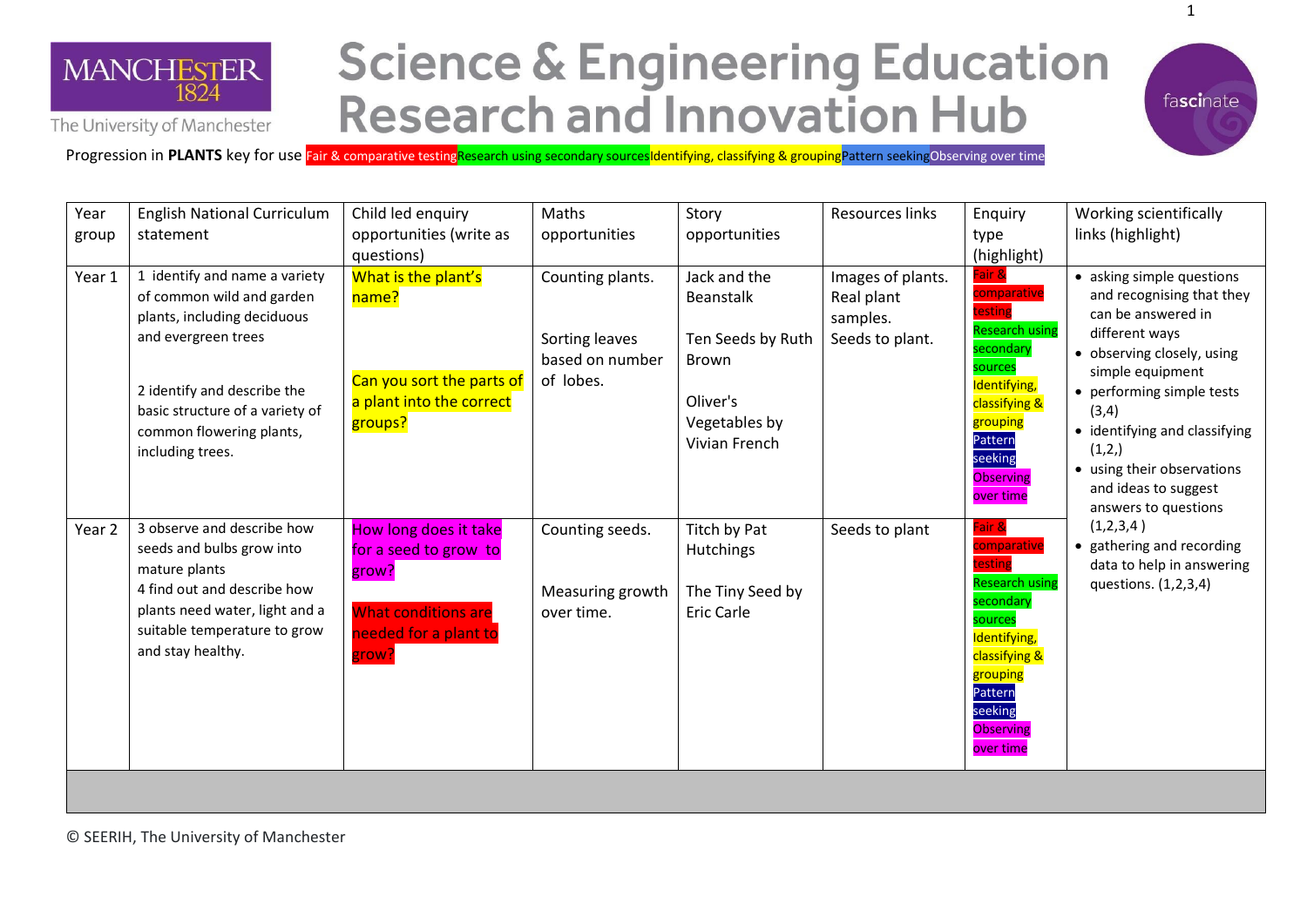

The University of Manchester

## **Science & Engineering Education Research and Innovation Hub**



Progression in PLANTS key for use Fair & comparative testingResearch using secondary sourcesIdentifying, classifying & groupingPattern seekingObserving over time

| Year<br><b>English National Curriculum</b>                                                                                                                                                                                                   | Child led enquiry                                                                                                       | Maths                                                              | Story                                                                                                        | Resources links                                                | Enquiry                                                                                                                                                                               | Working scientifically                                                                                                                                                                                                                                                                  |
|----------------------------------------------------------------------------------------------------------------------------------------------------------------------------------------------------------------------------------------------|-------------------------------------------------------------------------------------------------------------------------|--------------------------------------------------------------------|--------------------------------------------------------------------------------------------------------------|----------------------------------------------------------------|---------------------------------------------------------------------------------------------------------------------------------------------------------------------------------------|-----------------------------------------------------------------------------------------------------------------------------------------------------------------------------------------------------------------------------------------------------------------------------------------|
| statement<br>group                                                                                                                                                                                                                           | opportunities (write as                                                                                                 | opportunities                                                      | opportunities                                                                                                |                                                                | type                                                                                                                                                                                  | links (highlight)                                                                                                                                                                                                                                                                       |
|                                                                                                                                                                                                                                              | questions)                                                                                                              |                                                                    |                                                                                                              |                                                                | (highlight)                                                                                                                                                                           |                                                                                                                                                                                                                                                                                         |
| 1 identify and name a variety<br>Year 1<br>of common wild and garden<br>plants, including deciduous<br>and evergreen trees<br>2 identify and describe the<br>basic structure of a variety of<br>common flowering plants,<br>including trees. | What is the plant's<br>name?<br>Can you sort the parts of<br>a plant into the correct<br>groups?                        | Counting plants.<br>Sorting leaves<br>based on number<br>of lobes. | Jack and the<br><b>Beanstalk</b><br>Ten Seeds by Ruth<br>Brown<br>Oliver's<br>Vegetables by<br>Vivian French | Images of plants.<br>Real plant<br>samples.<br>Seeds to plant. | Fair &<br>comparative<br>testing<br><b>Research using</b><br>secondary<br>sources<br>Identifying,<br>classifying &<br>grouping<br>Pattern<br>seeking<br><b>Observing</b><br>over time | • asking simple questions<br>and recognising that they<br>can be answered in<br>different ways<br>· observing closely, using<br>simple equipment<br>• performing simple tests<br>(3,4)<br>• identifying and classifying<br>(1,2,)<br>• using their observations<br>and ideas to suggest |
| 3 observe and describe how<br>Year 2<br>seeds and bulbs grow into<br>mature plants<br>4 find out and describe how<br>plants need water, light and a<br>suitable temperature to grow<br>and stay healthy.                                     | How long does it take<br>for a seed to grow to<br>grow?<br><b>What conditions are</b><br>needed for a plant to<br>grow? | Counting seeds.<br>Measuring growth<br>over time.                  | Titch by Pat<br><b>Hutchings</b><br>The Tiny Seed by<br><b>Eric Carle</b>                                    | Seeds to plant                                                 | Fair &<br>comparative<br>testing<br><b>Research using</b><br>secondary<br>sources<br>Identifying,<br>classifying &<br>grouping<br>Pattern<br>seeking<br><b>Observing</b><br>over time | answers to questions<br>(1,2,3,4)<br>• gathering and recording<br>data to help in answering<br>questions. (1,2,3,4)                                                                                                                                                                     |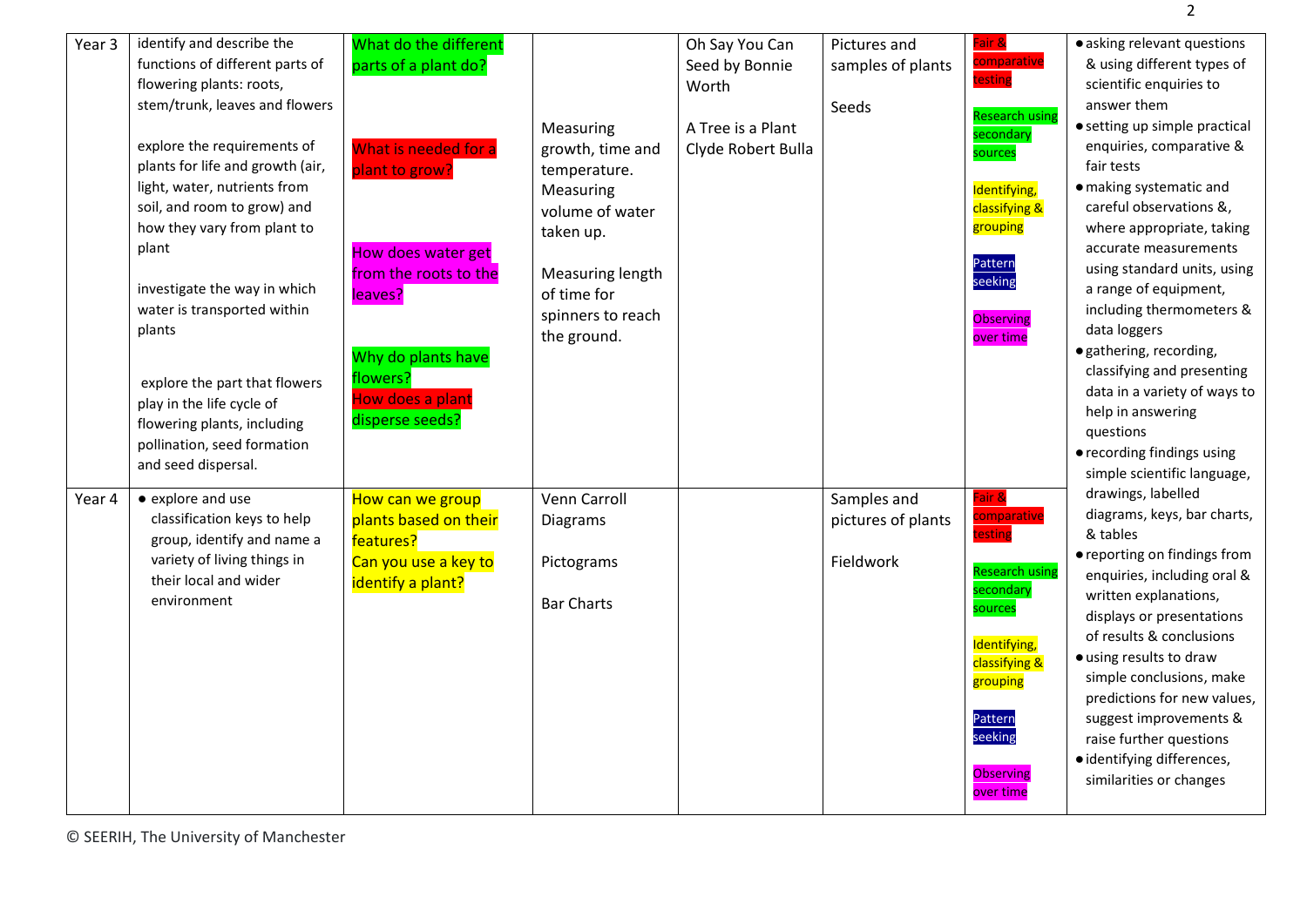| Year 3 | identify and describe the        | What do the different |                   | Oh Say You Can     | Pictures and       | Fair &                             | · asking relevant questions   |
|--------|----------------------------------|-----------------------|-------------------|--------------------|--------------------|------------------------------------|-------------------------------|
|        | functions of different parts of  | parts of a plant do?  |                   | Seed by Bonnie     | samples of plants  | comparative                        | & using different types of    |
|        | flowering plants: roots,         |                       |                   | Worth              |                    | testing                            | scientific enquiries to       |
|        | stem/trunk, leaves and flowers   |                       |                   |                    | Seeds              |                                    | answer them                   |
|        |                                  |                       | Measuring         | A Tree is a Plant  |                    | <b>Research using</b><br>secondary | • setting up simple practical |
|        | explore the requirements of      | What is needed for a  | growth, time and  | Clyde Robert Bulla |                    | sources                            | enquiries, comparative &      |
|        | plants for life and growth (air, | plant to grow?        | temperature.      |                    |                    |                                    | fair tests                    |
|        | light, water, nutrients from     |                       | Measuring         |                    |                    | Identifying,                       | · making systematic and       |
|        | soil, and room to grow) and      |                       | volume of water   |                    |                    | classifying &                      | careful observations &,       |
|        | how they vary from plant to      |                       | taken up.         |                    |                    | grouping                           | where appropriate, taking     |
|        | plant                            | How does water get    |                   |                    |                    |                                    | accurate measurements         |
|        |                                  | from the roots to the | Measuring length  |                    |                    | Pattern                            | using standard units, using   |
|        | investigate the way in which     | leaves?               | of time for       |                    |                    | seeking                            | a range of equipment,         |
|        | water is transported within      |                       | spinners to reach |                    |                    | <b>Observing</b>                   | including thermometers &      |
|        | plants                           |                       | the ground.       |                    |                    | over time                          | data loggers                  |
|        |                                  | Why do plants have    |                   |                    |                    |                                    | · gathering, recording,       |
|        |                                  | flowers?              |                   |                    |                    |                                    | classifying and presenting    |
|        | explore the part that flowers    | How does a plant      |                   |                    |                    |                                    | data in a variety of ways to  |
|        | play in the life cycle of        | disperse seeds?       |                   |                    |                    |                                    | help in answering             |
|        | flowering plants, including      |                       |                   |                    |                    |                                    | questions                     |
|        | pollination, seed formation      |                       |                   |                    |                    |                                    | • recording findings using    |
|        | and seed dispersal.              |                       |                   |                    |                    |                                    | simple scientific language,   |
| Year 4 | • explore and use                | How can we group      | Venn Carroll      |                    | Samples and        | Fair &                             | drawings, labelled            |
|        | classification keys to help      | plants based on their | Diagrams          |                    | pictures of plants | comparative                        | diagrams, keys, bar charts,   |
|        | group, identify and name a       | features?             |                   |                    |                    | testing                            | & tables                      |
|        | variety of living things in      | Can you use a key to  | Pictograms        |                    | Fieldwork          |                                    | • reporting on findings from  |
|        | their local and wider            | identify a plant?     |                   |                    |                    | <b>Research using</b>              | enquiries, including oral &   |
|        | environment                      |                       | <b>Bar Charts</b> |                    |                    | secondary                          | written explanations,         |
|        |                                  |                       |                   |                    |                    | sources                            | displays or presentations     |
|        |                                  |                       |                   |                    |                    | Identifying,                       | of results & conclusions      |
|        |                                  |                       |                   |                    |                    | classifying &                      | · using results to draw       |
|        |                                  |                       |                   |                    |                    | grouping                           | simple conclusions, make      |
|        |                                  |                       |                   |                    |                    |                                    | predictions for new values,   |
|        |                                  |                       |                   |                    |                    | Pattern                            | suggest improvements &        |
|        |                                  |                       |                   |                    |                    | seeking                            | raise further questions       |
|        |                                  |                       |                   |                    |                    |                                    | · identifying differences,    |
|        |                                  |                       |                   |                    |                    | <b>Observing</b>                   | similarities or changes       |
|        |                                  |                       |                   |                    |                    | over time                          |                               |

2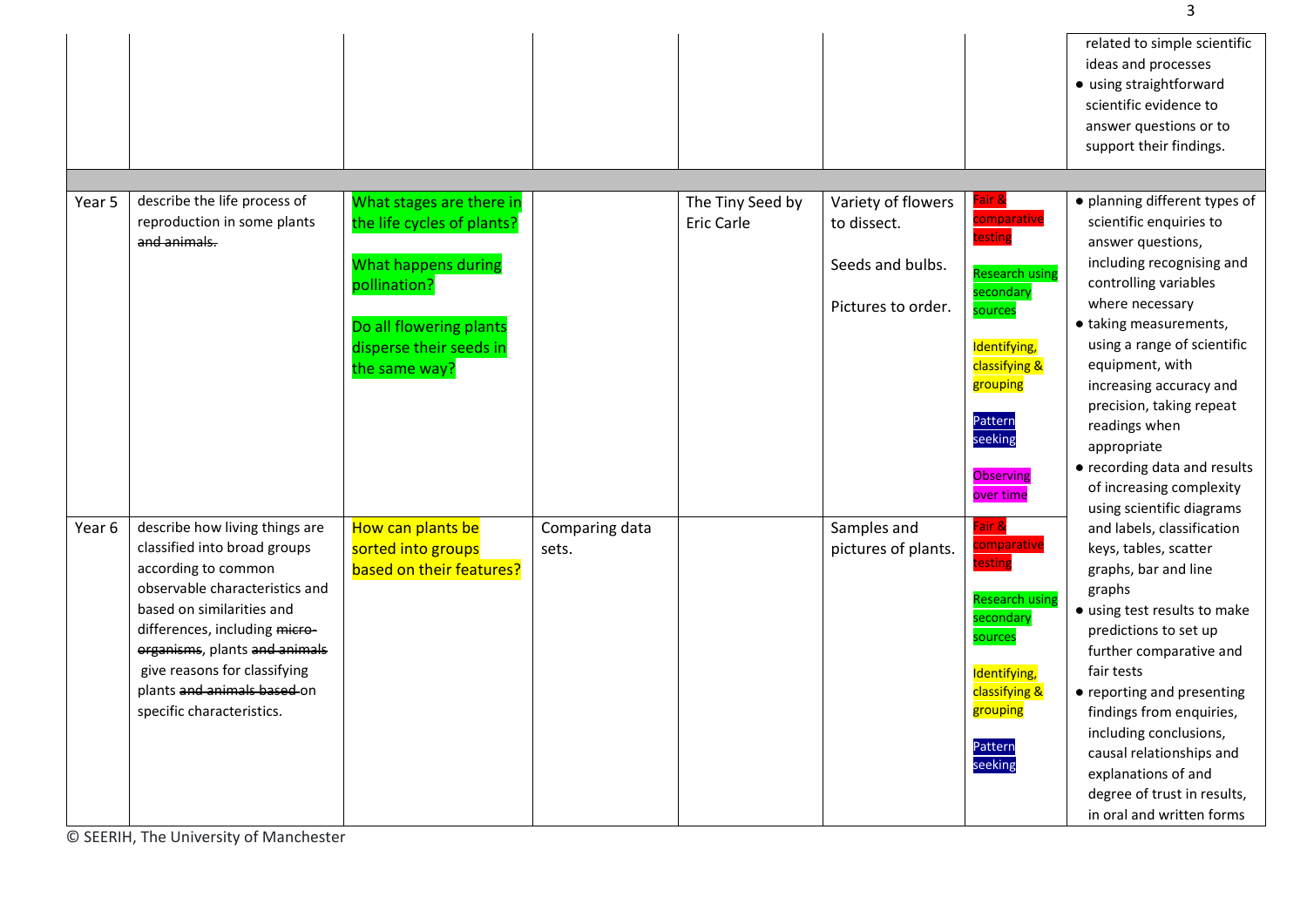|        |                                                       |                                     |                |                   |                     |                               | related to simple scientific<br>ideas and processes<br>• using straightforward<br>scientific evidence to<br>answer questions or to<br>support their findings. |
|--------|-------------------------------------------------------|-------------------------------------|----------------|-------------------|---------------------|-------------------------------|---------------------------------------------------------------------------------------------------------------------------------------------------------------|
| Year 5 | describe the life process of                          | What stages are there in            |                | The Tiny Seed by  | Variety of flowers  | Fair &                        | · planning different types of                                                                                                                                 |
|        | reproduction in some plants                           | the life cycles of plants?          |                | <b>Eric Carle</b> | to dissect.         | comparative                   | scientific enquiries to                                                                                                                                       |
|        | and animals.                                          |                                     |                |                   |                     | testing                       | answer questions,                                                                                                                                             |
|        |                                                       | What happens during<br>pollination? |                |                   | Seeds and bulbs.    | <b>Research using</b>         | including recognising and<br>controlling variables                                                                                                            |
|        |                                                       |                                     |                |                   | Pictures to order.  | secondary<br>sources          | where necessary                                                                                                                                               |
|        |                                                       | Do all flowering plants             |                |                   |                     |                               | · taking measurements,                                                                                                                                        |
|        |                                                       | disperse their seeds in             |                |                   |                     | Identifying,                  | using a range of scientific                                                                                                                                   |
|        |                                                       | the same way?                       |                |                   |                     | classifying &                 | equipment, with                                                                                                                                               |
|        |                                                       |                                     |                |                   |                     | grouping                      | increasing accuracy and<br>precision, taking repeat                                                                                                           |
|        |                                                       |                                     |                |                   |                     | Pattern                       | readings when                                                                                                                                                 |
|        |                                                       |                                     |                |                   |                     | seeking                       | appropriate                                                                                                                                                   |
|        |                                                       |                                     |                |                   |                     |                               | • recording data and results                                                                                                                                  |
|        |                                                       |                                     |                |                   |                     | <b>Observing</b><br>over time | of increasing complexity                                                                                                                                      |
|        |                                                       |                                     |                |                   |                     |                               | using scientific diagrams                                                                                                                                     |
| Year 6 | describe how living things are                        | How can plants be                   | Comparing data |                   | Samples and         | Fair &                        | and labels, classification                                                                                                                                    |
|        | classified into broad groups                          | sorted into groups                  | sets.          |                   | pictures of plants. | comparative<br>testing        | keys, tables, scatter                                                                                                                                         |
|        | according to common<br>observable characteristics and | based on their features?            |                |                   |                     |                               | graphs, bar and line                                                                                                                                          |
|        | based on similarities and                             |                                     |                |                   |                     | <b>Research using</b>         | graphs<br>• using test results to make                                                                                                                        |
|        | differences, including micro-                         |                                     |                |                   |                     | secondary                     | predictions to set up                                                                                                                                         |
|        | organisms, plants and animals                         |                                     |                |                   |                     | sources                       | further comparative and                                                                                                                                       |
|        | give reasons for classifying                          |                                     |                |                   |                     | Identifying,                  | fair tests                                                                                                                                                    |
|        | plants and animals based on                           |                                     |                |                   |                     | classifying &                 | • reporting and presenting                                                                                                                                    |
|        | specific characteristics.                             |                                     |                |                   |                     | grouping                      | findings from enquiries,                                                                                                                                      |
|        |                                                       |                                     |                |                   |                     |                               | including conclusions,                                                                                                                                        |
|        |                                                       |                                     |                |                   |                     | Pattern<br>seeking            | causal relationships and                                                                                                                                      |
|        |                                                       |                                     |                |                   |                     |                               | explanations of and                                                                                                                                           |
|        |                                                       |                                     |                |                   |                     |                               | degree of trust in results,                                                                                                                                   |
|        |                                                       |                                     |                |                   |                     |                               | in oral and written forms                                                                                                                                     |

© SEERIH, The University of Manchester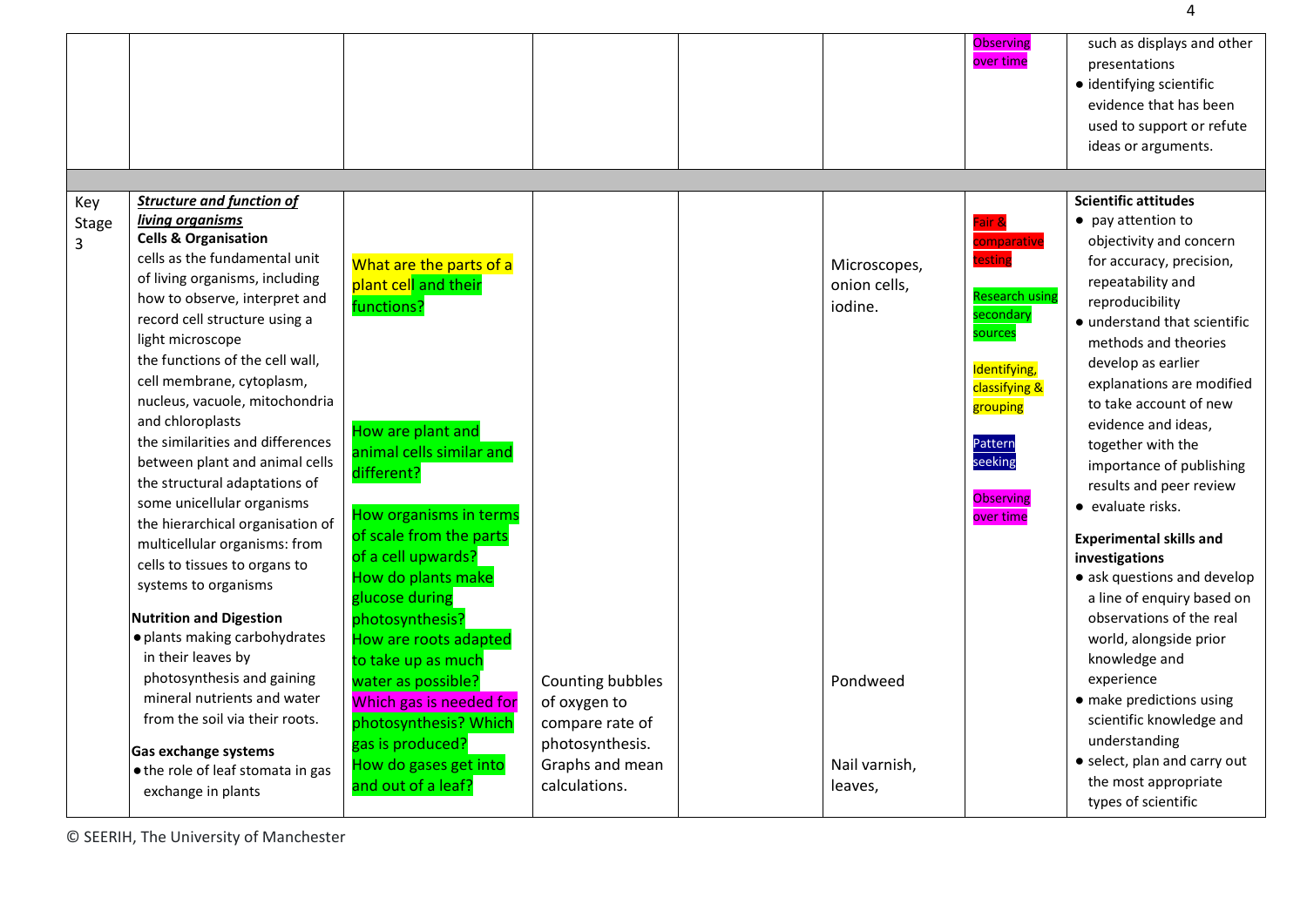|                |                                                                |                          |                  |               | <b>Observing</b><br>over time | such as displays and other<br>presentations<br>· identifying scientific<br>evidence that has been<br>used to support or refute<br>ideas or arguments. |
|----------------|----------------------------------------------------------------|--------------------------|------------------|---------------|-------------------------------|-------------------------------------------------------------------------------------------------------------------------------------------------------|
|                |                                                                |                          |                  |               |                               | <b>Scientific attitudes</b>                                                                                                                           |
| Key            | <b>Structure and function of</b><br>living organisms           |                          |                  |               |                               | • pay attention to                                                                                                                                    |
| Stage          | <b>Cells &amp; Organisation</b>                                |                          |                  |               | Fair &<br>comparative         | objectivity and concern                                                                                                                               |
| $\overline{3}$ | cells as the fundamental unit                                  | What are the parts of a  |                  | Microscopes,  | testing                       | for accuracy, precision,                                                                                                                              |
|                | of living organisms, including                                 | plant cell and their     |                  | onion cells,  |                               | repeatability and                                                                                                                                     |
|                | how to observe, interpret and                                  | functions?               |                  | iodine.       | <b>Research using</b>         | reproducibility                                                                                                                                       |
|                | record cell structure using a                                  |                          |                  |               | secondary                     | • understand that scientific                                                                                                                          |
|                | light microscope                                               |                          |                  |               | sources                       | methods and theories                                                                                                                                  |
|                | the functions of the cell wall,                                |                          |                  |               | Identifying,                  | develop as earlier                                                                                                                                    |
|                | cell membrane, cytoplasm,                                      |                          |                  |               | classifying &                 | explanations are modified                                                                                                                             |
|                | nucleus, vacuole, mitochondria                                 |                          |                  |               | grouping                      | to take account of new                                                                                                                                |
|                | and chloroplasts                                               | How are plant and        |                  |               |                               | evidence and ideas,                                                                                                                                   |
|                | the similarities and differences                               | animal cells similar and |                  |               | Pattern                       | together with the                                                                                                                                     |
|                | between plant and animal cells                                 | different?               |                  |               | seeking                       | importance of publishing                                                                                                                              |
|                | the structural adaptations of                                  |                          |                  |               | <b>Observing</b>              | results and peer review                                                                                                                               |
|                | some unicellular organisms<br>the hierarchical organisation of | How organisms in terms   |                  |               | over time                     | • evaluate risks.                                                                                                                                     |
|                | multicellular organisms: from                                  | of scale from the parts  |                  |               |                               | <b>Experimental skills and</b>                                                                                                                        |
|                | cells to tissues to organs to                                  | of a cell upwards?       |                  |               |                               | investigations                                                                                                                                        |
|                | systems to organisms                                           | How do plants make       |                  |               |                               | • ask questions and develop                                                                                                                           |
|                |                                                                | glucose during           |                  |               |                               | a line of enguiry based on                                                                                                                            |
|                | <b>Nutrition and Digestion</b>                                 | photosynthesis?          |                  |               |                               | observations of the real                                                                                                                              |
|                | · plants making carbohydrates                                  | How are roots adapted    |                  |               |                               | world, alongside prior                                                                                                                                |
|                | in their leaves by                                             | to take up as much       |                  |               |                               | knowledge and                                                                                                                                         |
|                | photosynthesis and gaining                                     | water as possible?       | Counting bubbles | Pondweed      |                               | experience                                                                                                                                            |
|                | mineral nutrients and water                                    | Which gas is needed for  | of oxygen to     |               |                               | • make predictions using                                                                                                                              |
|                | from the soil via their roots.                                 | photosynthesis? Which    | compare rate of  |               |                               | scientific knowledge and                                                                                                                              |
|                | <b>Gas exchange systems</b>                                    | gas is produced?         | photosynthesis.  |               |                               | understanding                                                                                                                                         |
|                | • the role of leaf stomata in gas                              | How do gases get into    | Graphs and mean  | Nail varnish, |                               | • select, plan and carry out                                                                                                                          |
|                | exchange in plants                                             | and out of a leaf?       | calculations.    | leaves,       |                               | the most appropriate                                                                                                                                  |
|                |                                                                |                          |                  |               |                               | types of scientific                                                                                                                                   |

© SEERIH, The University of Manchester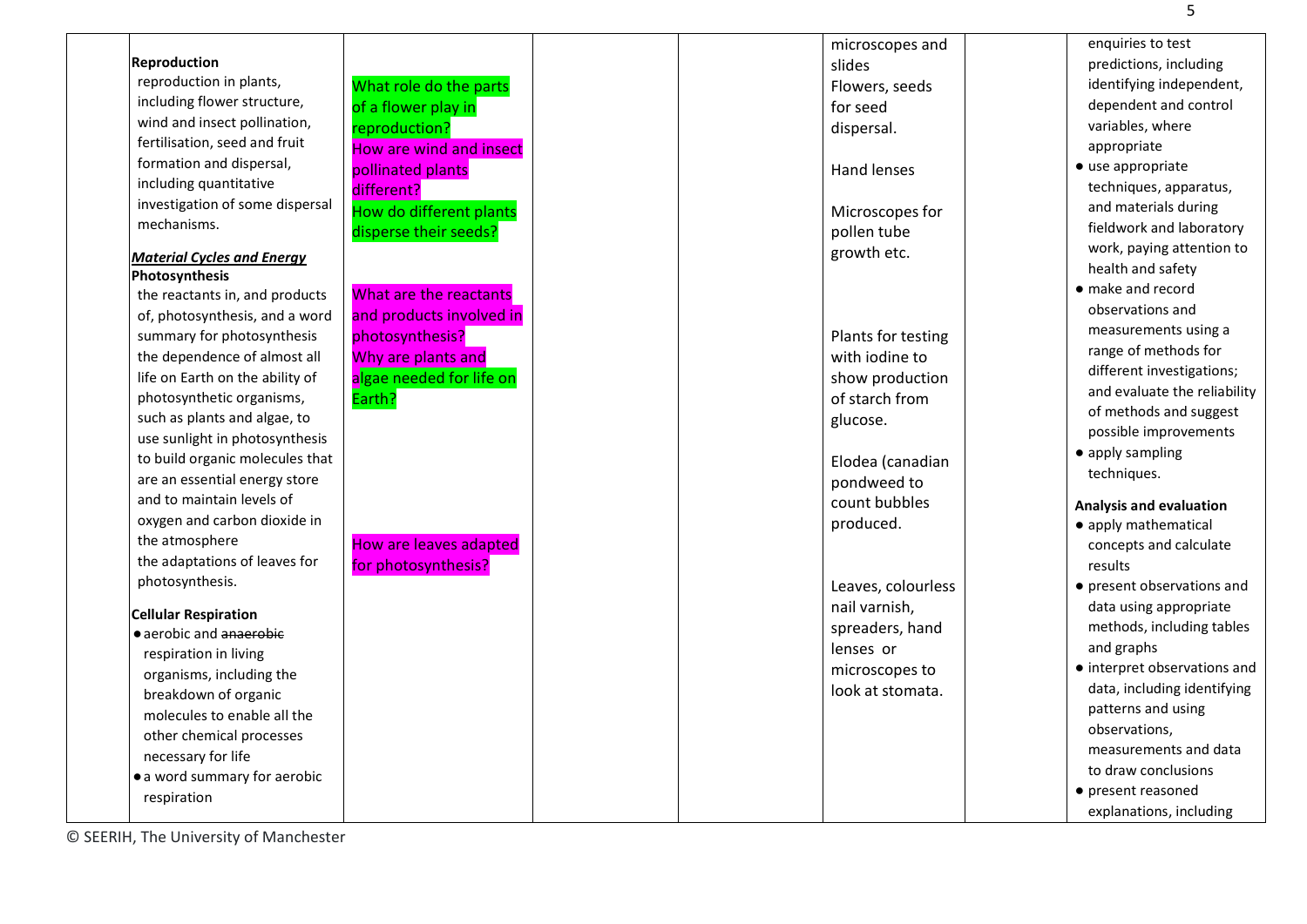|                                                            |                               |                                   | 5                              |
|------------------------------------------------------------|-------------------------------|-----------------------------------|--------------------------------|
|                                                            |                               | microscopes and                   | enquiries to test              |
| <b>Reproduction</b>                                        |                               | slides                            | predictions, including         |
| reproduction in plants,                                    | What role do the parts        | Flowers, seeds                    | identifying independent,       |
| including flower structure,                                | of a flower play in           | for seed                          | dependent and control          |
| wind and insect pollination,                               | reproduction?                 | dispersal.                        | variables, where               |
| fertilisation, seed and fruit                              | How are wind and insect       |                                   | appropriate                    |
| formation and dispersal,                                   | pollinated plants             | <b>Hand lenses</b>                | • use appropriate              |
| including quantitative                                     | different?                    |                                   | techniques, apparatus,         |
| investigation of some dispersal                            | How do different plants       | Microscopes for                   | and materials during           |
| mechanisms.                                                | disperse their seeds?         | pollen tube                       | fieldwork and laboratory       |
|                                                            |                               | growth etc.                       | work, paying attention to      |
| <b>Material Cycles and Energy</b><br>Photosynthesis        |                               |                                   | health and safety              |
| the reactants in, and products                             | What are the reactants        |                                   | • make and record              |
| of, photosynthesis, and a word                             | and products involved in      |                                   | observations and               |
| summary for photosynthesis                                 | photosynthesis?               | Plants for testing                | measurements using a           |
| the dependence of almost all                               | Why are plants and            | with iodine to                    | range of methods for           |
| life on Earth on the ability of                            | algae needed for life on      |                                   | different investigations;      |
| photosynthetic organisms,                                  |                               | show production<br>of starch from | and evaluate the reliability   |
| such as plants and algae, to                               | Earth?                        |                                   | of methods and suggest         |
| use sunlight in photosynthesis                             |                               | glucose.                          | possible improvements          |
|                                                            |                               |                                   | • apply sampling               |
| to build organic molecules that                            |                               | Elodea (canadian                  | techniques.                    |
| are an essential energy store<br>and to maintain levels of |                               | pondweed to                       |                                |
|                                                            |                               | count bubbles                     | <b>Analysis and evaluation</b> |
| oxygen and carbon dioxide in                               |                               | produced.                         | • apply mathematical           |
| the atmosphere                                             | <b>How are leaves adapted</b> |                                   | concepts and calculate         |
| the adaptations of leaves for                              | for photosynthesis?           |                                   | results                        |
| photosynthesis.                                            |                               | Leaves, colourless                | • present observations and     |
| <b>Cellular Respiration</b>                                |                               | nail varnish,                     | data using appropriate         |
| · aerobic and anaerobic                                    |                               | spreaders, hand                   | methods, including tables      |
| respiration in living                                      |                               | lenses or                         | and graphs                     |
| organisms, including the                                   |                               | microscopes to                    | • interpret observations and   |
| breakdown of organic                                       |                               | look at stomata.                  | data, including identifying    |
| molecules to enable all the                                |                               |                                   | patterns and using             |
| other chemical processes                                   |                               |                                   | observations,                  |
| necessary for life                                         |                               |                                   | measurements and data          |
| • a word summary for aerobic                               |                               |                                   | to draw conclusions            |
| respiration                                                |                               |                                   | • present reasoned             |
|                                                            |                               |                                   | explanations, including        |

© SEERIH, The University of Manchester